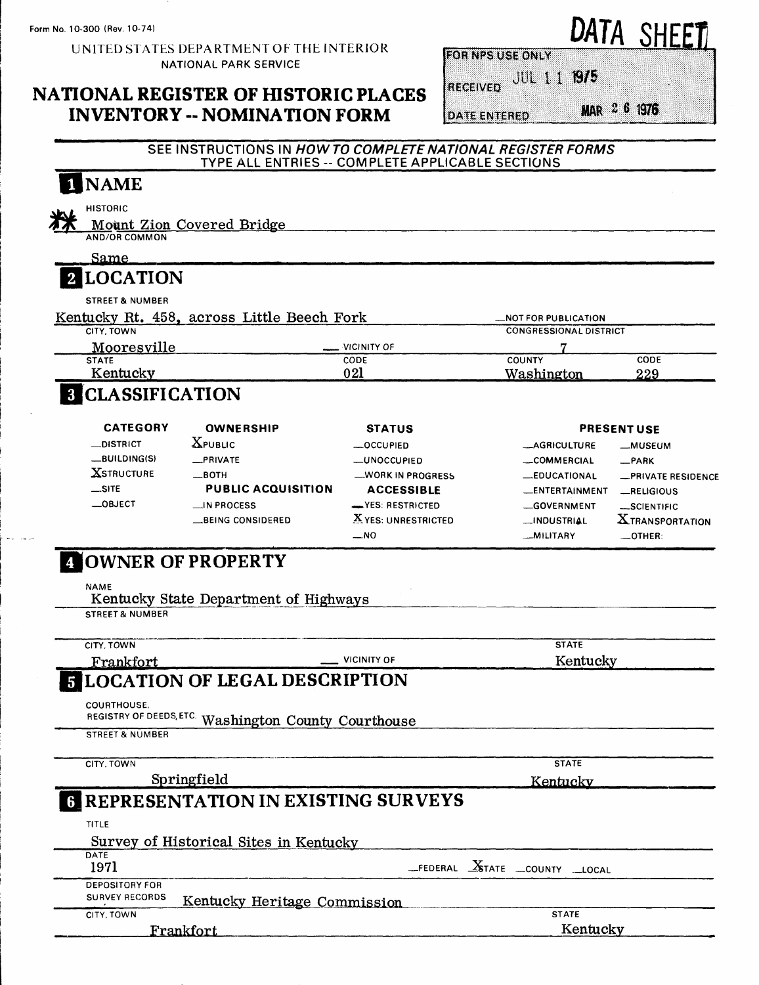منعدا أيملأ

UNITED STATES DEPARTMENT OF THE INTERIOR NATIONAL PARK SERVICE

#### **NATIONAL REGISTER OF HISTORIC PLACES INVENTORY -- NOMINATION FORM**

**FOR NPS USE ONLY** 

**DATE ENTERED** 

RECEIVED JUL 1 1 1975

MAR 2 6 1976

DATA SHEET

| 1 NAME                              |                                                      |                                                  |                                                                                |                                      |
|-------------------------------------|------------------------------------------------------|--------------------------------------------------|--------------------------------------------------------------------------------|--------------------------------------|
| HISTORIC                            |                                                      |                                                  |                                                                                |                                      |
| <b>AND/OR COMMON</b>                | Mount Zion Covered Bridge                            |                                                  |                                                                                |                                      |
| $\operatorname{Same}$               |                                                      |                                                  |                                                                                |                                      |
| <b>2 LOCATION</b>                   |                                                      |                                                  |                                                                                |                                      |
| <b>STREET &amp; NUMBER</b>          |                                                      |                                                  |                                                                                |                                      |
|                                     | Kentucky Rt. 458, across Little Beech Fork           |                                                  | <b>NOT FOR PUBLICATION</b>                                                     |                                      |
| CITY. TOWN                          |                                                      | VICINITY OF                                      | <b>CONGRESSIONAL DISTRICT</b>                                                  |                                      |
| Mooresville<br><b>STATE</b>         |                                                      | CODE                                             | COUNTY                                                                         | CODE                                 |
| Kentucky                            |                                                      | 021                                              | <u>Washington</u>                                                              | 229                                  |
| <b>8 CLASSIFICATION</b>             |                                                      |                                                  |                                                                                |                                      |
| <b>CATEGORY</b>                     | <b>OWNERSHIP</b>                                     | <b>STATUS</b>                                    |                                                                                | <b>PRESENT USE</b>                   |
| $\equiv$ DISTRICT                   | $X$ PUBLIC                                           | __OCCUPIED                                       | <b>__AGRICULTURE</b>                                                           | __MUSEUM                             |
| _BUILDING(S)                        | _PRIVATE                                             | —UNOCCUPIED                                      | COMMERCIAL                                                                     | _PARK                                |
| <b>XSTRUCTURE</b>                   | $\_$ BOTH                                            | WORK IN PROGRESS                                 | <b>__EDUCATIONAL</b>                                                           | <b>_PRIVATE RESIDENCE</b>            |
| $\equiv$ SITE<br>$\equiv$ OBJECT    | <b>PUBLIC ACQUISITION</b>                            | <b>ACCESSIBLE</b>                                | __ENTERTAINMENT                                                                | RELIGIOUS                            |
|                                     | $\Box$ IN PROCESS<br>__BEING CONSIDERED              | <b>EXPLOSE RESTRICTED</b><br>X YES: UNRESTRICTED | -GOVERNMENT<br><b>__INDUSTRIAL</b>                                             | SCIENTIFIC<br><b>XTRANSPORTATION</b> |
|                                     |                                                      | __NO                                             | __MILITARY                                                                     | -OTHER:                              |
|                                     | 4 OWNER OF PROPERTY                                  |                                                  |                                                                                |                                      |
| NAME<br><b>STREET &amp; NUMBER</b>  | Kentucky State Department of Highways                |                                                  |                                                                                |                                      |
| CITY, TOWN                          |                                                      |                                                  | <b>STATE</b>                                                                   |                                      |
| Frankfort                           |                                                      | <b>VICINITY OF</b>                               | Kentucky                                                                       |                                      |
|                                     | <b>E LOCATION OF LEGAL DESCRIPTION</b>               |                                                  |                                                                                |                                      |
| <b>COURTHOUSE,</b>                  |                                                      |                                                  |                                                                                |                                      |
| <b>STREET &amp; NUMBER</b>          | REGISTRY OF DEEDS, ETC. Washington County Courthouse |                                                  |                                                                                |                                      |
| CITY, TOWN                          |                                                      |                                                  | <b>STATE</b>                                                                   |                                      |
|                                     | Springfield                                          |                                                  | Kentucky                                                                       |                                      |
| 6                                   | REPRESENTATION IN EXISTING SURVEYS                   |                                                  |                                                                                |                                      |
| TITLE                               |                                                      |                                                  |                                                                                |                                      |
|                                     | Survey of Historical Sites in Kentucky               |                                                  |                                                                                |                                      |
| DATE<br>1971                        |                                                      |                                                  | $\_$ FEDERAL $\underline{X}$ tate $\underline{.}$ county $\underline{.}$ local |                                      |
| <b>DEPOSITORY FOR</b>               |                                                      |                                                  |                                                                                |                                      |
| <b>SURVEY RECORDS</b><br>CITY, TOWN | Kentucky Heritage Commission                         |                                                  | <b>STATE</b>                                                                   |                                      |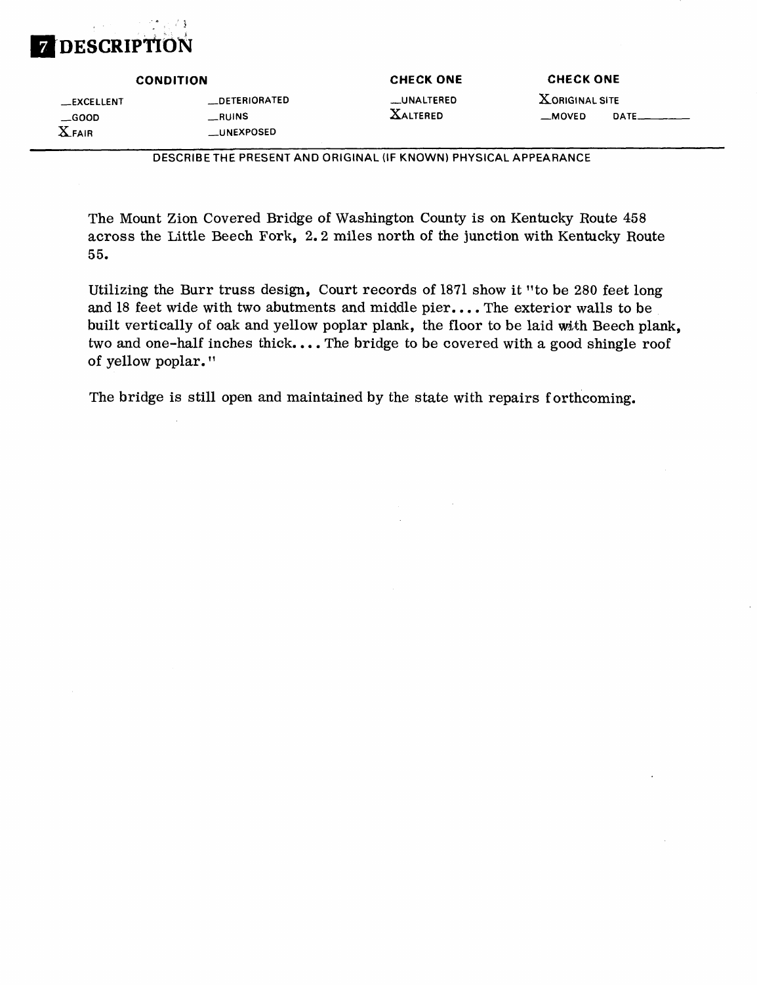#### , 73 **DESCRIPTION**

**CONDITION CHECK ONE CHECK ONE**

\_\_EXCELLENT \_\_\_DETERIORATED \_\_\_UNALTERED \_GOOD —RUINS XALTERED \_MOVED DATE. XFAIR **EXPOSED** 

*———————————***DESCRIBE THE PRESENT AND ORIGINAL (IF KNOWN) PHYSICAL APPEARANCE**

The Mount Zion Covered Bridge of Washington County is on Kentucky Route 458 across the Little Beech Fork, 2. 2 miles north of the junction with Kentucky Route 55.

Utilizing the Burr truss design, Court records of 1871 show it "to be 280 feet long and 18 feet wide with two abutments and middle pier.... The exterior walls to be built vertically of oak and yellow poplar plank, the floor to be laid with Beech plank, two and one-half inches thick.... The bridge to be covered with a good shingle roof of yellow poplar."

The bridge is still open and maintained by the state with repairs forthcoming.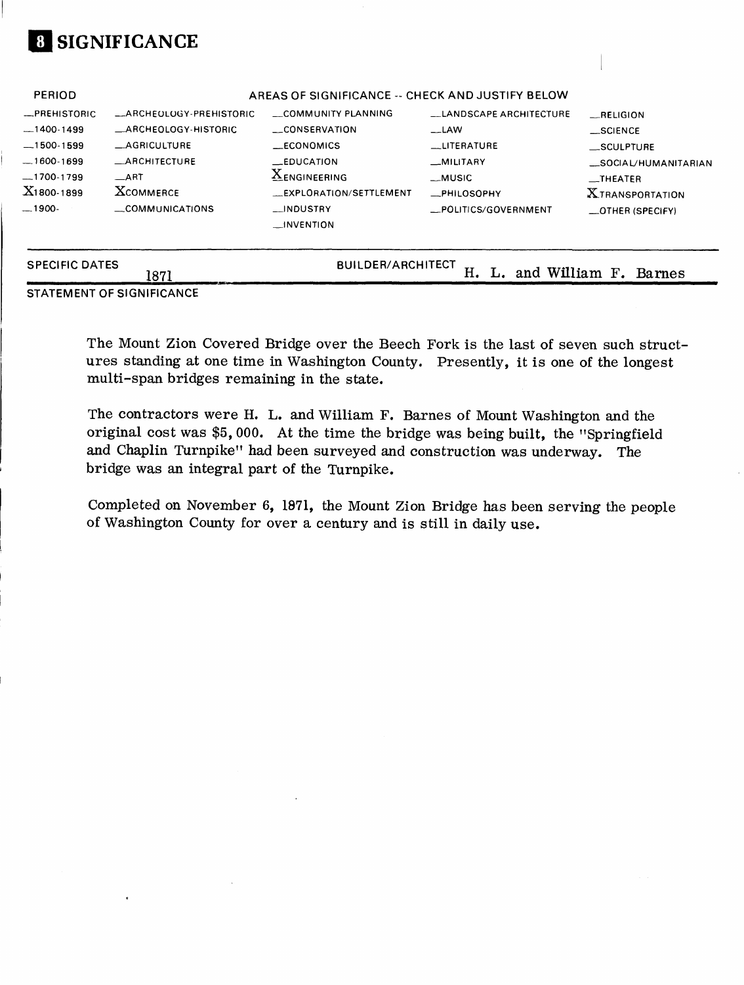# **01 SIGNIFICANCE**

| <b>SPECIFIC DATES</b> | 1871                       | <b>BUILDER/ARCHITECT</b>                         | н.                             | and William F. Barnes            |
|-----------------------|----------------------------|--------------------------------------------------|--------------------------------|----------------------------------|
|                       |                            | $\longrightarrow$ INVENTION                      |                                |                                  |
| $-1900-$              | COMMUNICATIONS             | __INDUSTRY                                       | __POLITICS/GOVERNMENT          | $-$ OTHER (SPECIFY)              |
| $X_1$ 800-1899        | <b>XCOMMERCE</b>           | EXPLORATION/SETTLEMENT                           | _PHILOSOPHY                    | <b>XTRANSPORTATION</b>           |
| $-1700-1799$          | $\equiv$ ART               | <b>XENGINEERING</b>                              | __MUSIC                        | $\overline{\phantom{0}}$ THEATER |
| $-1600-1699$          | <b>_ARCHITECTURE</b>       | <b>LEDUCATION</b>                                | __MILITARY                     | __SOCIAL/HUMANITARIAN            |
| $-1500-1599$          | <b>_AGRICULTURE</b>        | __ECONOMICS                                      | __LITERATURE                   | __SCULPTURE                      |
| $-1400-1499$          | <b>ARCHEOLOGY-HISTORIC</b> | __CONSERVATION                                   | $-LAW$                         | __SCIENCE                        |
| -PREHISTORIC          | _ARCHEOLOGY-PREHISTORIC    | COMMUNITY PLANNING                               | <b>LLANDSCAPE ARCHITECTURE</b> | __RELIGION                       |
| <b>PERIOD</b>         |                            | AREAS OF SIGNIFICANCE -- CHECK AND JUSTIFY BELOW |                                |                                  |

STATEMENT OF SIGNIFICANCE

The Mount Zion Covered Bridge over the Beech Fork is the last of seven such structures standing at one time in Washington County. Presently, it is one of the longest multi-span bridges remaining in the state.

The contractors were H. L. and William F. Barnes of Mount Washington and the original cost was \$5, 000. At the time the bridge was being built, the "Springfield and Chaplin Turnpike" had been surveyed and construction was underway. The bridge was an integral part of the Turnpike.

Completed on November 6, 1871, the Mount Zion Bridge has been serving the people of Washington County for over a century and is still in daily use.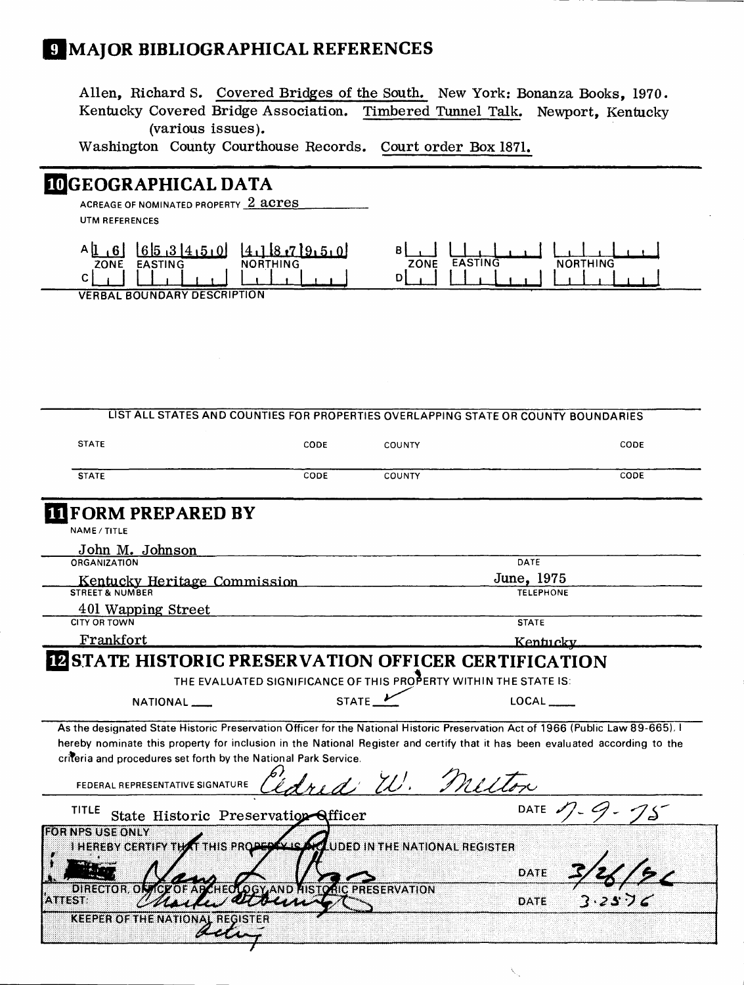# **IMAJOR BIBLIOGRAPHICAL REFERENCES**

Alien, Richard S. Covered Bridges of the South. New York: Bonanza Books, 1970. Kentucky Covered Bridge Association. Timbered Tunnel Talk. Newport, Kentucky (various issues).

> $B<sub>l</sub>$ ZONE

1 <u>. 1 , 1 , 1 , 1 , 1</u> **EASTING** 

1 . I . L NORTHING <u>1 , 1 , 1 , 1 , 1 , 1 , 1</u>

-i-jj

 $\mathbf{I}$  ,  $\mathbf{I}$  ,  $\mathbf{I}$ 

1 1 . 1 , , 1

 $\hat{\nabla}_{\!\scriptscriptstyle \!\mathcal{A}}$ 

 $D$ 

Washington County Courthouse Records. Court order Box 1871.

## **3GEOGR APHICAL DATA**

ACREAGE OF NOMINATED PROPERTY **2 acres** UTM REFERENCES

|             |                                    | $A[1,6]$ $[6]$ $[3]$ $[4]$ $[5]$ $[0]$ $[4]$ $[8]$ $[7]$ $[9]$ $[5]$ $[0]$ |
|-------------|------------------------------------|----------------------------------------------------------------------------|
| <b>ZONE</b> | <b>EASTING</b>                     | NORTHING                                                                   |
|             |                                    |                                                                            |
|             | <b>VERBAL BOUNDARY DESCRIPTION</b> |                                                                            |

7

| <b>STATE</b>                                                                                                                    | CODE                                                             | COUNTY              |                                | CODE |
|---------------------------------------------------------------------------------------------------------------------------------|------------------------------------------------------------------|---------------------|--------------------------------|------|
| <b>STATE</b>                                                                                                                    | CODE                                                             | <b>COUNTY</b>       |                                | CODE |
| FORM PREPARED BY                                                                                                                |                                                                  |                     |                                |      |
| <b>NAME / TITLE</b>                                                                                                             |                                                                  |                     |                                |      |
| John M. Johnson                                                                                                                 |                                                                  |                     |                                |      |
| <b>ORGANIZATION</b>                                                                                                             |                                                                  |                     | DATE                           |      |
| Kentucky Heritage Commission<br>STREET & NUMBER                                                                                 |                                                                  |                     | June, 1975<br><b>TELEPHONE</b> |      |
| 401 Wapping Street                                                                                                              |                                                                  |                     |                                |      |
| <b>CITY OR TOWN</b>                                                                                                             |                                                                  |                     | <b>STATE</b>                   |      |
|                                                                                                                                 |                                                                  |                     |                                |      |
| Frankfort<br><b>IZ STATE HISTORIC PRESERVATION OFFICER CERTIFICATION</b>                                                        | THE EVALUATED SIGNIFICANCE OF THIS PROPERTY WITHIN THE STATE IS: |                     | <u>Kentucky</u>                |      |
|                                                                                                                                 |                                                                  |                     |                                |      |
| NATIONAL __                                                                                                                     |                                                                  | STATE $\frac{1}{2}$ | $LOCAL$ <sub>-----</sub>       |      |
| As the designated State Historic Preservation Officer for the National Historic Preservation Act of 1966 (Public Law 89-665). I |                                                                  |                     |                                |      |
| hereby nominate this property for inclusion in the National Register and certify that it has been evaluated according to the    |                                                                  |                     |                                |      |
| criteria and procedures set forth by the National Park Service.                                                                 |                                                                  |                     |                                |      |
| FEDERAL REPRESENTATIVE SIGNATURE                                                                                                |                                                                  | ed W. Melton        |                                |      |
| TITLE                                                                                                                           | State Historic Preservation Afficer                              |                     | DATE $1/2$                     |      |
| <b>EORNPS USE ONLY</b>                                                                                                          |                                                                  |                     |                                |      |
| I HEREBY CERTIFY THAT THIS PROPER VISATUDED IN THE NATIONAL REGISTER                                                            |                                                                  |                     |                                |      |
| DIRECTOR ON                                                                                                                     | <b>AND HISTORIC PRESERVATION</b>                                 |                     | DATE                           |      |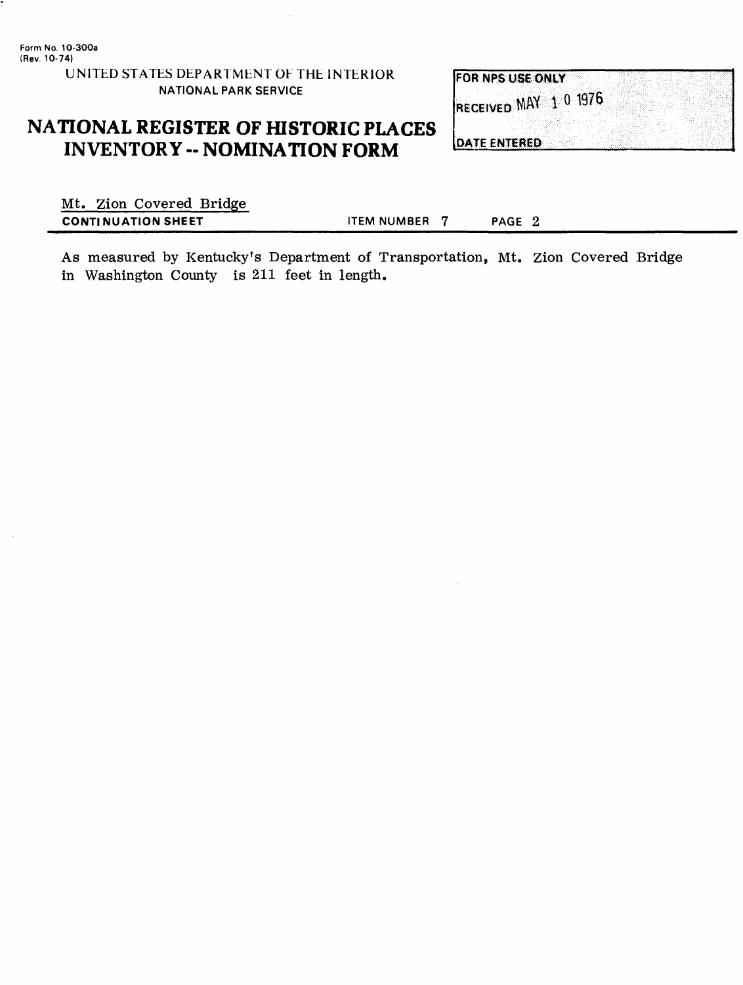#### UNITED STATES DEPARTMENT OF THE INTERIOR **NATIONAL PARK SERVICE**

### **NATIONAL REGISTER OF HISTORIC PLACES INVENTORY - NOMINATION FORM**

**FOR NPS USE ONLY** RECEIVED MAY 1 0 1976

**DATE ENTERED** 

Mt. Zion Covered Bridge **CONTINUATION SHEET ITEM NUMBER 7** PAGE 2

As measured by Kentucky's Department of Transportation, Mt. Zion Covered Bridge in Washington County is 211 feet in length.